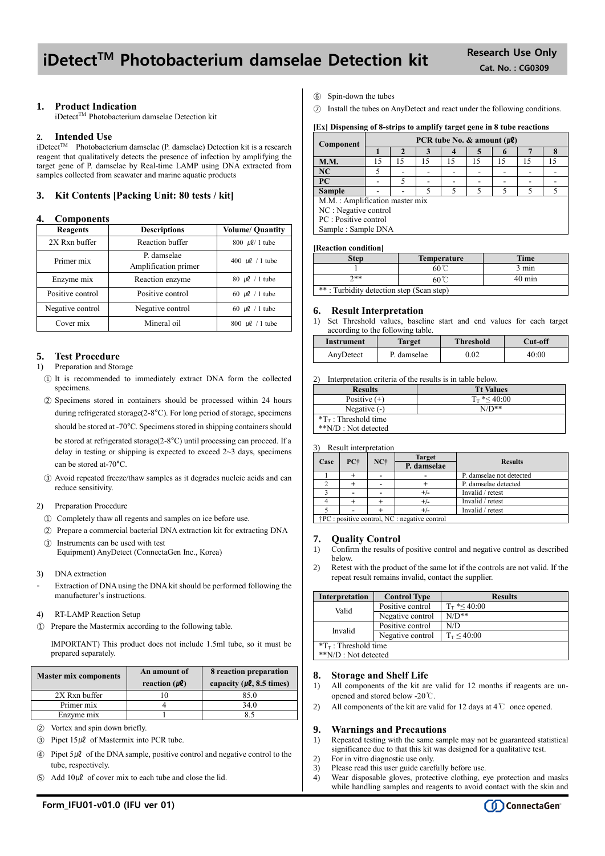# iDetect<sup>™</sup> Photobacterium damselae Detection kit Research Use Only

## **1. Product Indication**

iDetect™ Photobacterium damselae Detection kit

### **2. Intended Use**

 $i$ Detect<sup>TM</sup> Photobacterium damselae (P. damselae) Detection kit is a research reagent that qualitatively detects the presence of infection by amplifying the target gene of P. damselae by Real-time LAMP using DNA extracted from samples collected from seawater and marine aquatic products

### **3. Kit Contents [Packing Unit: 80 tests / kit]**

### **4. Components**

| Reagents         | <b>Descriptions</b>                 | <b>Volume/ Quantity</b> |  |
|------------------|-------------------------------------|-------------------------|--|
| 2X Rxn buffer    | Reaction buffer                     | 800 $\mu$ l/ 1 tube     |  |
| Primer mix       | P. damselae<br>Amplification primer | 400 $\mu$ l / 1 tube    |  |
| Enzyme mix       | Reaction enzyme                     | 80 $\mu$ l / 1 tube     |  |
| Positive control | Positive control                    | 60 $\mu$ l / 1 tube     |  |
| Negative control | Negative control                    | 60 $\mu$ l / 1 tube     |  |
| Cover mix        | Mineral oil                         | 800 $\mu$ l / 1 tube    |  |

### **5. Test Procedure**

#### 1) Preparation and Storage

- ① It is recommended to immediately extract DNA form the collected specimens.
- ② Specimens stored in containers should be processed within 24 hours during refrigerated storage(2-8°C). For long period of storage, specimens should be stored at -70°C. Specimens stored in shipping containers should be stored at refrigerated storage(2-8°C) until processing can proceed. If a delay in testing or shipping is expected to exceed  $2 \sim 3$  days, specimens can be stored at-70°C.
- ③ Avoid repeated freeze/thaw samples as it degrades nucleic acids and can reduce sensitivity.

### 2) Preparation Procedure

- ① Completely thaw all regents and samples on ice before use.
- ② Prepare a commercial bacterial DNA extraction kit for extracting DNA ③ Instruments can be used with test

Equipment) AnyDetect (ConnectaGen Inc., Korea)

- 3) DNA extraction
- Extraction of DNA using the DNA kit should be performed following the manufacturer's instructions.
- 4) RT-LAMP Reaction Setup
- ① Prepare the Mastermix according to the following table.

IMPORTANT) This product does not include 1.5ml tube, so it must be prepared separately.

| <b>Master mix components</b> | An amount of<br>reaction $(\mu \ell)$ | 8 reaction preparation<br>capacity ( $\mu$ <b>l</b> , 8.5 times) |  |  |
|------------------------------|---------------------------------------|------------------------------------------------------------------|--|--|
| 2X Rxn buffer                |                                       | 85.0                                                             |  |  |
| Primer mix                   |                                       | 34.0                                                             |  |  |
| Enzyme mix                   |                                       |                                                                  |  |  |

- ② Vortex and spin down briefly.
- $\textcircled{3}$  Pipet 15µl of Mastermix into PCR tube.
- $\widehat{A}$  Pipet 5µl of the DNA sample, positive control and negative control to the tube, respectively.
- $\circ$  Add 10µl of cover mix to each tube and close the lid.

# **[Ex] Dispensing of 8-strips to amplify target gene in 8 tube reactions**

| Component                      | PCR tube No. & amount $(\mu \ell)$ |    |    |    |    |    |    |  |
|--------------------------------|------------------------------------|----|----|----|----|----|----|--|
|                                |                                    |    |    |    |    | o  |    |  |
| <b>M.M.</b>                    | 15                                 | 15 | 15 | 15 | 15 | 15 | 15 |  |
| NC                             |                                    |    |    |    |    |    |    |  |
| PC                             |                                    |    |    |    |    |    |    |  |
| <b>Sample</b>                  |                                    |    |    |    |    |    |    |  |
| M.M.: Amplification master mix |                                    |    |    |    |    |    |    |  |
| NC : Negative control          |                                    |    |    |    |    |    |    |  |
| PC : Positive control          |                                    |    |    |    |    |    |    |  |
| Sample: Sample DNA             |                                    |    |    |    |    |    |    |  |
|                                |                                    |    |    |    |    |    |    |  |

#### **[Reaction condition]**

⑥ Spin-down the tubes

| <b>Step</b>                              | <b>Temperature</b> | <b>Time</b>      |  |
|------------------------------------------|--------------------|------------------|--|
|                                          | $60^{\circ}$       | 3 min            |  |
| ን**                                      | 60℃                | $40 \text{ min}$ |  |
| **: Turbidity detection step (Scan step) |                    |                  |  |

### **6. Result Interpretation**

1) Set Threshold values, baseline start and end values for each target according to the following table.

| Instrument | Target      | <b>Threshold</b> | Cut-off |
|------------|-------------|------------------|---------|
| AnyDetect  | P. damselae | 0.02             | 40:00   |

2) Interpretation criteria of the results is in table below.

| <b>Results</b>                  | <b>Tt Values</b>     |
|---------------------------------|----------------------|
| Positive $(+)$                  | $T_{\rm T}$ *< 40:00 |
| Negative $(-)$                  | $N/D**$              |
| $T_{\text{T}}$ : Threshold time |                      |
| **N/D : Not detected            |                      |

3) Result interpretation

|      |                                                        |       | <b>Target</b> |                          |  |
|------|--------------------------------------------------------|-------|---------------|--------------------------|--|
| Case | PC+                                                    | $NC+$ | P. damselae   | <b>Results</b>           |  |
|      |                                                        |       |               | P. damselae not detected |  |
|      |                                                        |       |               | P. damselae detected     |  |
|      |                                                        |       |               | Invalid / retest         |  |
|      |                                                        |       |               | Invalid / retest         |  |
|      |                                                        |       |               | Invalid / retest         |  |
|      | $\dagger$ PC : positive control, NC : negative control |       |               |                          |  |

### **7. Quality Control**

- 1) Confirm the results of positive control and negative control as described below.
- 2) Retest with the product of the same lot if the controls are not valid. If the repeat result remains invalid, contact the supplier.

| <b>Interpretation</b>        | <b>Control Type</b> | <b>Results</b>             |  |  |
|------------------------------|---------------------|----------------------------|--|--|
| Valid                        | Positive control    | $T_{\rm T}$ * $\leq 40:00$ |  |  |
|                              | Negative control    | $N/D**$                    |  |  |
| Invalid                      | Positive control    | N/D                        |  |  |
|                              | Negative control    | $T_{\rm T} \le 40:00$      |  |  |
| $T_{\rm T}$ : Threshold time |                     |                            |  |  |
| $*N/D$ : Not detected        |                     |                            |  |  |

### **8. Storage and Shelf Life**

- 1) All components of the kit are valid for 12 months if reagents are unopened and stored below -20℃.
- 2) All components of the kit are valid for 12 days at 4℃ once opened.

### **9. Warnings and Precautions**

- 1) Repeated testing with the same sample may not be guaranteed statistical significance due to that this kit was designed for a qualitative test.
- 2) For in vitro diagnostic use only. 3) Please read this user guide carefully before use.
- 
- 4) Wear disposable gloves, protective clothing, eye protection and masks while handling samples and reagents to avoid contact with the skin and